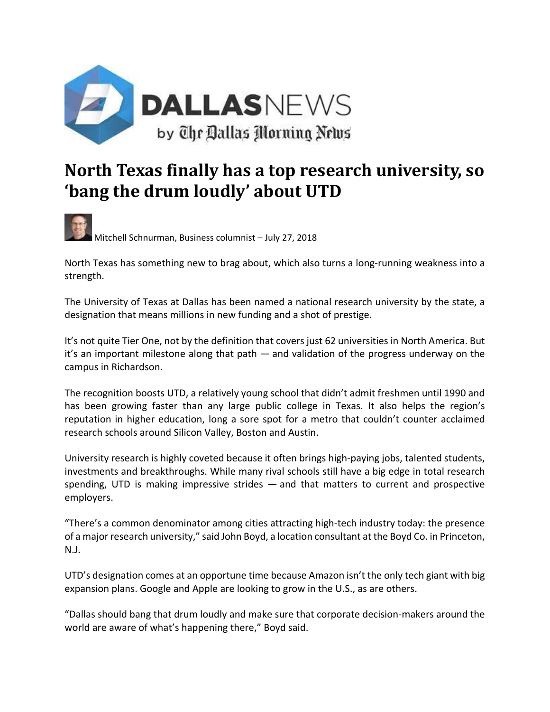

## **North Texas finally has a top research university, so 'bang the drum loudly' about UTD**

Mitchell Schnurman, Business columnist – July 27, 2018

North Texas has something new to brag about, which also turns a long-running weakness into a strength.

The University of Texas at Dallas has been named a national research university by the state, a designation that means millions in new funding and a shot of prestige.

It's not quite Tier One, not by the definition that covers just 62 universities in North America. But it's an important milestone along that path — and validation of the progress underway on the campus in Richardson.

The recognition boosts UTD, a relatively young school that didn't admit freshmen until 1990 and has been growing faster than any large public college in Texas. It also helps the region's reputation in higher education, long a sore spot for a metro that couldn't counter acclaimed research schools around Silicon Valley, Boston and Austin.

University research is highly coveted because it often brings high‐paying jobs, talented students, investments and breakthroughs. While many rival schools still have a big edge in total research spending, UTD is making impressive strides — and that matters to current and prospective employers.

"There's a common denominator among cities attracting high‐tech industry today: the presence of a major research university," said John Boyd, a location consultant at the Boyd Co. in Princeton, N.J.

UTD's designation comes at an opportune time because Amazon isn't the only tech giant with big expansion plans. Google and Apple are looking to grow in the U.S., as are others.

"Dallas should bang that drum loudly and make sure that corporate decision‐makers around the world are aware of what's happening there," Boyd said.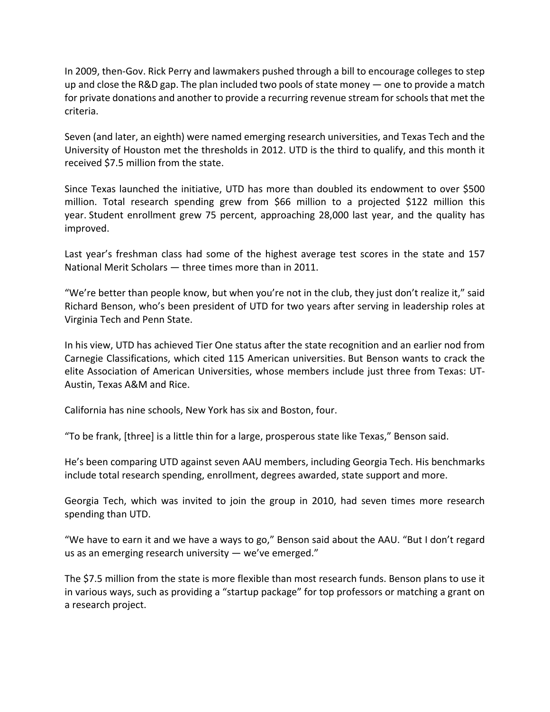In 2009, then‐Gov. Rick Perry and lawmakers pushed through a bill to encourage colleges to step up and close the R&D gap. The plan included two pools of state money — one to provide a match for private donations and another to provide a recurring revenue stream for schools that met the criteria.

Seven (and later, an eighth) were named emerging research universities, and Texas Tech and the University of Houston met the thresholds in 2012. UTD is the third to qualify, and this month it received \$7.5 million from the state.

Since Texas launched the initiative, UTD has more than doubled its endowment to over \$500 million. Total research spending grew from \$66 million to a projected \$122 million this year. Student enrollment grew 75 percent, approaching 28,000 last year, and the quality has improved.

Last year's freshman class had some of the highest average test scores in the state and 157 National Merit Scholars — three times more than in 2011.

"We're better than people know, but when you're not in the club, they just don't realize it," said Richard Benson, who's been president of UTD for two years after serving in leadership roles at Virginia Tech and Penn State.

In his view, UTD has achieved Tier One status after the state recognition and an earlier nod from Carnegie Classifications, which cited 115 American universities. But Benson wants to crack the elite Association of American Universities, whose members include just three from Texas: UT‐ Austin, Texas A&M and Rice.

California has nine schools, New York has six and Boston, four.

"To be frank, [three] is a little thin for a large, prosperous state like Texas," Benson said.

He's been comparing UTD against seven AAU members, including Georgia Tech. His benchmarks include total research spending, enrollment, degrees awarded, state support and more.

Georgia Tech, which was invited to join the group in 2010, had seven times more research spending than UTD.

"We have to earn it and we have a ways to go," Benson said about the AAU. "But I don't regard us as an emerging research university — we've emerged."

The \$7.5 million from the state is more flexible than most research funds. Benson plans to use it in various ways, such as providing a "startup package" for top professors or matching a grant on a research project.